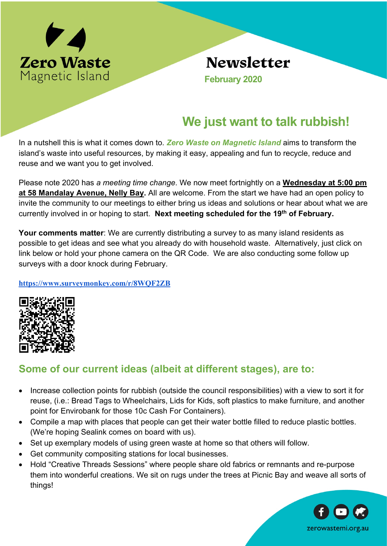

## **Newsletter**

 **February 2020**

## **We just want to talk rubbish!**

In a nutshell this is what it comes down to. *Zero Waste on Magnetic Island* aims to transform the island's waste into useful resources, by making it easy, appealing and fun to recycle, reduce and reuse and we want you to get involved.

Please note 2020 has *a meeting time change*. We now meet fortnightly on a **Wednesday at 5:00 pm at 58 Mandalay Avenue, Nelly Bay.** All are welcome. From the start we have had an open policy to invite the community to our meetings to either bring us ideas and solutions or hear about what we are currently involved in or hoping to start. **Next meeting scheduled for the 19th of February.**

**Your comments matter**: We are currently distributing a survey to as many island residents as possible to get ideas and see what you already do with household waste. Alternatively, just click on link below or hold your phone camera on the QR Code. We are also conducting some follow up surveys with a door knock during February.

**https://www.surveymonkey.com/r/8WQF2ZB**



## **Some of our current ideas (albeit at different stages), are to:**

- Increase collection points for rubbish (outside the council responsibilities) with a view to sort it for reuse, (i.e.: Bread Tags to Wheelchairs, Lids for Kids, soft plastics to make furniture, and another point for Envirobank for those 10c Cash For Containers).
- Compile a map with places that people can get their water bottle filled to reduce plastic bottles. (We're hoping Sealink comes on board with us).
- Set up exemplary models of using green waste at home so that others will follow.
- Get community compositing stations for local businesses.
- Hold "Creative Threads Sessions" where people share old fabrics or remnants and re-purpose them into wonderful creations. We sit on rugs under the trees at Picnic Bay and weave all sorts of things!